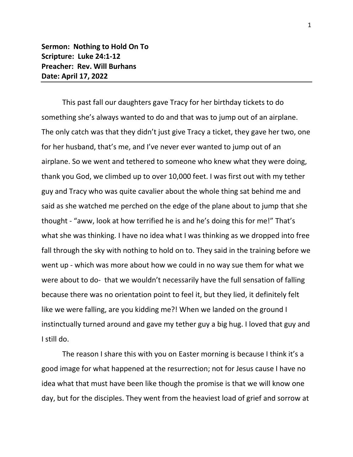**Sermon: Nothing to Hold On To Scripture: Luke 24:1-12 Preacher: Rev. Will Burhans Date: April 17, 2022**

This past fall our daughters gave Tracy for her birthday tickets to do something she's always wanted to do and that was to jump out of an airplane. The only catch was that they didn't just give Tracy a ticket, they gave her two, one for her husband, that's me, and I've never ever wanted to jump out of an airplane. So we went and tethered to someone who knew what they were doing, thank you God, we climbed up to over 10,000 feet. I was first out with my tether guy and Tracy who was quite cavalier about the whole thing sat behind me and said as she watched me perched on the edge of the plane about to jump that she thought - "aww, look at how terrified he is and he's doing this for me!" That's what she was thinking. I have no idea what I was thinking as we dropped into free fall through the sky with nothing to hold on to. They said in the training before we went up - which was more about how we could in no way sue them for what we were about to do- that we wouldn't necessarily have the full sensation of falling because there was no orientation point to feel it, but they lied, it definitely felt like we were falling, are you kidding me?! When we landed on the ground I instinctually turned around and gave my tether guy a big hug. I loved that guy and I still do.

The reason I share this with you on Easter morning is because I think it's a good image for what happened at the resurrection; not for Jesus cause I have no idea what that must have been like though the promise is that we will know one day, but for the disciples. They went from the heaviest load of grief and sorrow at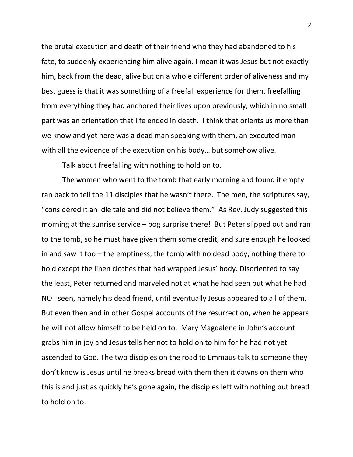the brutal execution and death of their friend who they had abandoned to his fate, to suddenly experiencing him alive again. I mean it was Jesus but not exactly him, back from the dead, alive but on a whole different order of aliveness and my best guess is that it was something of a freefall experience for them, freefalling from everything they had anchored their lives upon previously, which in no small part was an orientation that life ended in death. I think that orients us more than we know and yet here was a dead man speaking with them, an executed man with all the evidence of the execution on his body… but somehow alive.

Talk about freefalling with nothing to hold on to.

The women who went to the tomb that early morning and found it empty ran back to tell the 11 disciples that he wasn't there. The men, the scriptures say, "considered it an idle tale and did not believe them." As Rev. Judy suggested this morning at the sunrise service – bog surprise there! But Peter slipped out and ran to the tomb, so he must have given them some credit, and sure enough he looked in and saw it too – the emptiness, the tomb with no dead body, nothing there to hold except the linen clothes that had wrapped Jesus' body. Disoriented to say the least, Peter returned and marveled not at what he had seen but what he had NOT seen, namely his dead friend, until eventually Jesus appeared to all of them. But even then and in other Gospel accounts of the resurrection, when he appears he will not allow himself to be held on to. Mary Magdalene in John's account grabs him in joy and Jesus tells her not to hold on to him for he had not yet ascended to God. The two disciples on the road to Emmaus talk to someone they don't know is Jesus until he breaks bread with them then it dawns on them who this is and just as quickly he's gone again, the disciples left with nothing but bread to hold on to.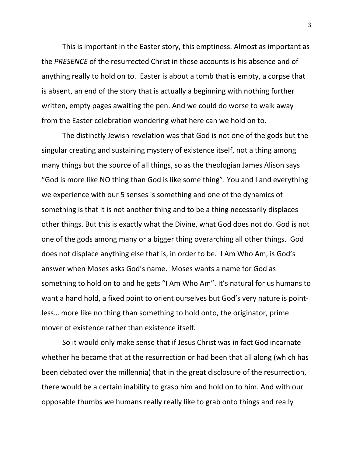This is important in the Easter story, this emptiness. Almost as important as the *PRESENCE* of the resurrected Christ in these accounts is his absence and of anything really to hold on to. Easter is about a tomb that is empty, a corpse that is absent, an end of the story that is actually a beginning with nothing further written, empty pages awaiting the pen. And we could do worse to walk away from the Easter celebration wondering what here can we hold on to.

The distinctly Jewish revelation was that God is not one of the gods but the singular creating and sustaining mystery of existence itself, not a thing among many things but the source of all things, so as the theologian James Alison says "God is more like NO thing than God is like some thing". You and I and everything we experience with our 5 senses is something and one of the dynamics of something is that it is not another thing and to be a thing necessarily displaces other things. But this is exactly what the Divine, what God does not do. God is not one of the gods among many or a bigger thing overarching all other things. God does not displace anything else that is, in order to be. I Am Who Am, is God's answer when Moses asks God's name. Moses wants a name for God as something to hold on to and he gets "I Am Who Am". It's natural for us humans to want a hand hold, a fixed point to orient ourselves but God's very nature is pointless… more like no thing than something to hold onto, the originator, prime mover of existence rather than existence itself.

So it would only make sense that if Jesus Christ was in fact God incarnate whether he became that at the resurrection or had been that all along (which has been debated over the millennia) that in the great disclosure of the resurrection, there would be a certain inability to grasp him and hold on to him. And with our opposable thumbs we humans really really like to grab onto things and really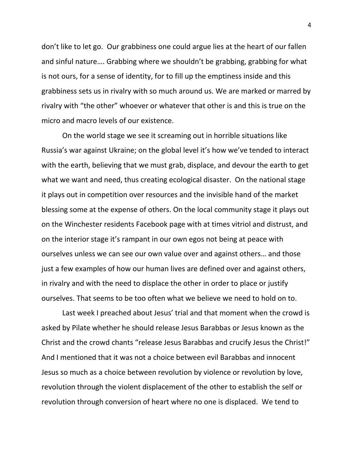don't like to let go. Our grabbiness one could argue lies at the heart of our fallen and sinful nature…. Grabbing where we shouldn't be grabbing, grabbing for what is not ours, for a sense of identity, for to fill up the emptiness inside and this grabbiness sets us in rivalry with so much around us. We are marked or marred by rivalry with "the other" whoever or whatever that other is and this is true on the micro and macro levels of our existence.

On the world stage we see it screaming out in horrible situations like Russia's war against Ukraine; on the global level it's how we've tended to interact with the earth, believing that we must grab, displace, and devour the earth to get what we want and need, thus creating ecological disaster. On the national stage it plays out in competition over resources and the invisible hand of the market blessing some at the expense of others. On the local community stage it plays out on the Winchester residents Facebook page with at times vitriol and distrust, and on the interior stage it's rampant in our own egos not being at peace with ourselves unless we can see our own value over and against others… and those just a few examples of how our human lives are defined over and against others, in rivalry and with the need to displace the other in order to place or justify ourselves. That seems to be too often what we believe we need to hold on to.

Last week I preached about Jesus' trial and that moment when the crowd is asked by Pilate whether he should release Jesus Barabbas or Jesus known as the Christ and the crowd chants "release Jesus Barabbas and crucify Jesus the Christ!" And I mentioned that it was not a choice between evil Barabbas and innocent Jesus so much as a choice between revolution by violence or revolution by love, revolution through the violent displacement of the other to establish the self or revolution through conversion of heart where no one is displaced. We tend to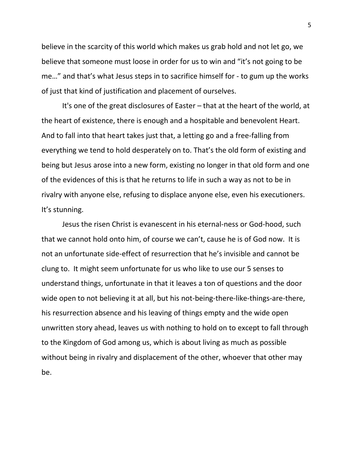believe in the scarcity of this world which makes us grab hold and not let go, we believe that someone must loose in order for us to win and "it's not going to be me…" and that's what Jesus steps in to sacrifice himself for - to gum up the works of just that kind of justification and placement of ourselves.

It's one of the great disclosures of Easter – that at the heart of the world, at the heart of existence, there is enough and a hospitable and benevolent Heart. And to fall into that heart takes just that, a letting go and a free-falling from everything we tend to hold desperately on to. That's the old form of existing and being but Jesus arose into a new form, existing no longer in that old form and one of the evidences of this is that he returns to life in such a way as not to be in rivalry with anyone else, refusing to displace anyone else, even his executioners. It's stunning.

Jesus the risen Christ is evanescent in his eternal-ness or God-hood, such that we cannot hold onto him, of course we can't, cause he is of God now. It is not an unfortunate side-effect of resurrection that he's invisible and cannot be clung to. It might seem unfortunate for us who like to use our 5 senses to understand things, unfortunate in that it leaves a ton of questions and the door wide open to not believing it at all, but his not-being-there-like-things-are-there, his resurrection absence and his leaving of things empty and the wide open unwritten story ahead, leaves us with nothing to hold on to except to fall through to the Kingdom of God among us, which is about living as much as possible without being in rivalry and displacement of the other, whoever that other may be.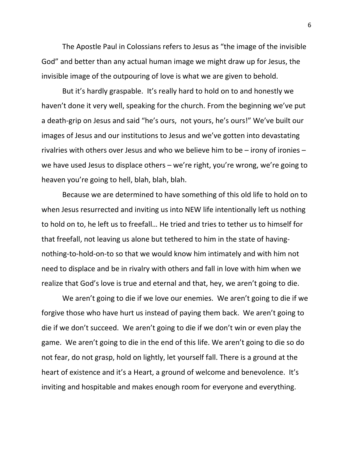The Apostle Paul in Colossians refers to Jesus as "the image of the invisible God" and better than any actual human image we might draw up for Jesus, the invisible image of the outpouring of love is what we are given to behold.

But it's hardly graspable. It's really hard to hold on to and honestly we haven't done it very well, speaking for the church. From the beginning we've put a death-grip on Jesus and said "he's ours, not yours, he's ours!" We've built our images of Jesus and our institutions to Jesus and we've gotten into devastating rivalries with others over Jesus and who we believe him to be – irony of ironies – we have used Jesus to displace others – we're right, you're wrong, we're going to heaven you're going to hell, blah, blah, blah.

Because we are determined to have something of this old life to hold on to when Jesus resurrected and inviting us into NEW life intentionally left us nothing to hold on to, he left us to freefall… He tried and tries to tether us to himself for that freefall, not leaving us alone but tethered to him in the state of havingnothing-to-hold-on-to so that we would know him intimately and with him not need to displace and be in rivalry with others and fall in love with him when we realize that God's love is true and eternal and that, hey, we aren't going to die.

We aren't going to die if we love our enemies. We aren't going to die if we forgive those who have hurt us instead of paying them back. We aren't going to die if we don't succeed. We aren't going to die if we don't win or even play the game. We aren't going to die in the end of this life. We aren't going to die so do not fear, do not grasp, hold on lightly, let yourself fall. There is a ground at the heart of existence and it's a Heart, a ground of welcome and benevolence. It's inviting and hospitable and makes enough room for everyone and everything.